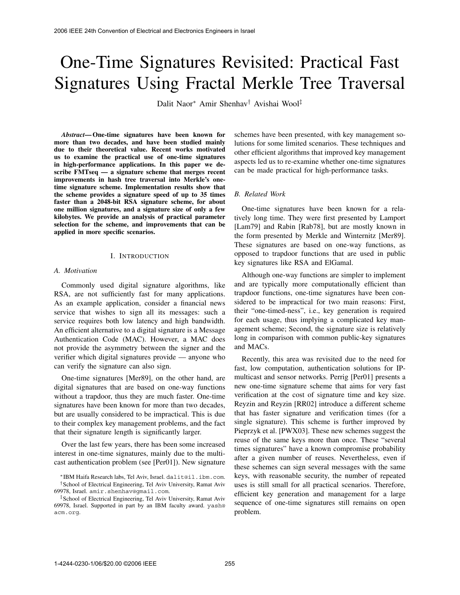# One-Time Signatures Revisited: Practical Fast Signatures Using Fractal Merkle Tree Traversal

Dalit Naor∗ Amir Shenhav† Avishai Wool‡

*Abstract***— One-time signatures have been known for more than two decades, and have been studied mainly due to their theoretical value. Recent works motivated us to examine the practical use of one-time signatures in high-performance applications. In this paper we describe FMTseq — a signature scheme that merges recent improvements in hash tree traversal into Merkle's onetime signature scheme. Implementation results show that the scheme provides a signature speed of up to 35 times faster than a 2048-bit RSA signature scheme, for about one million signatures, and a signature size of only a few kilobytes. We provide an analysis of practical parameter selection for the scheme, and improvements that can be applied in more specific scenarios.** 2008 IEEE 24th Convention of Electrical and Electronics Engineers in Israel<br> **Concert Later Convention**<br>
261. Normal Convention Schematics Engineers in the schematic of the set of the transmitters and have been known for

## I. INTRODUCTION

#### *A. Motivation*

Commonly used digital signature algorithms, like RSA, are not sufficiently fast for many applications. As an example application, consider a financial news service that wishes to sign all its messages: such a service requires both low latency and high bandwidth. An efficient alternative to a digital signature is a Message Authentication Code (MAC). However, a MAC does not provide the asymmetry between the signer and the verifier which digital signatures provide — anyone who can verify the signature can also sign.

One-time signatures [Mer89], on the other hand, are digital signatures that are based on one-way functions without a trapdoor, thus they are much faster. One-time signatures have been known for more than two decades, but are usually considered to be impractical. This is due to their complex key management problems, and the fact that their signature length is significantly larger.

Over the last few years, there has been some increased interest in one-time signatures, mainly due to the multicast authentication problem (see [Per01]). New signature

schemes have been presented, with key management solutions for some limited scenarios. These techniques and other efficient algorithms that improved key management aspects led us to re-examine whether one-time signatures can be made practical for high-performance tasks.

## *B. Related Work*

One-time signatures have been known for a relatively long time. They were first presented by Lamport [Lam79] and Rabin [Rab78], but are mostly known in the form presented by Merkle and Winternitz [Mer89]. These signatures are based on one-way functions, as opposed to trapdoor functions that are used in public key signatures like RSA and ElGamal.

Although one-way functions are simpler to implement and are typically more computationally efficient than trapdoor functions, one-time signatures have been considered to be impractical for two main reasons: First, their "one-timed-ness", i.e., key generation is required for each usage, thus implying a complicated key management scheme; Second, the signature size is relatively long in comparison with common public-key signatures and MACs.

Recently, this area was revisited due to the need for fast, low computation, authentication solutions for IPmulticast and sensor networks. Perrig [Per01] presents a new one-time signature scheme that aims for very fast verification at the cost of signature time and key size. Reyzin and Reyzin [RR02] introduce a different scheme that has faster signature and verification times (for a single signature). This scheme is further improved by Pieprzyk et al. [PWX03]. These new schemes suggest the reuse of the same keys more than once. These "several times signatures" have a known compromise probability after a given number of reuses. Nevertheless, even if these schemes can sign several messages with the same keys, with reasonable security, the number of repeated uses is still small for all practical scenarios. Therefore, efficient key generation and management for a large sequence of one-time signatures still remains on open problem.

<sup>∗</sup>IBM Haifa Research labs, Tel Aviv, Israel. dalit@il.ibm.com. †School of Electrical Engineering, Tel Aviv University, Ramat Aviv 69978, Israel. amir.shenhav@gmail.com.

<sup>‡</sup>School of Electrical Engineering, Tel Aviv University, Ramat Aviv 69978, Israel. Supported in part by an IBM faculty award. yash@ acm.org.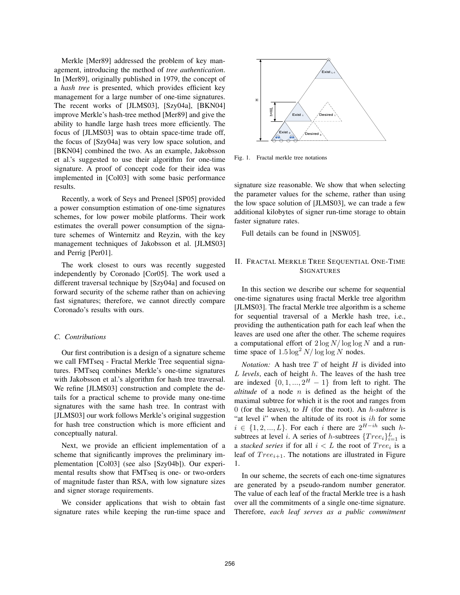Merkle [Mer89] addressed the problem of key management, introducing the method of *tree authentication*. In [Mer89], originally published in 1979, the concept of a *hash tree* is presented, which provides efficient key management for a large number of one-time signatures. The recent works of [JLMS03], [Szy04a], [BKN04] improve Merkle's hash-tree method [Mer89] and give the ability to handle large hash trees more efficiently. The focus of [JLMS03] was to obtain space-time trade off, the focus of [Szy04a] was very low space solution, and [BKN04] combined the two. As an example, Jakobsson et al.'s suggested to use their algorithm for one-time signature. A proof of concept code for their idea was implemented in [Col03] with some basic performance results.

Recently, a work of Seys and Preneel [SP05] provided a power consumption estimation of one-time signatures schemes, for low power mobile platforms. Their work estimates the overall power consumption of the signature schemes of Winternitz and Reyzin, with the key management techniques of Jakobsson et al. [JLMS03] and Perrig [Per01].

The work closest to ours was recently suggested independently by Coronado [Cor05]. The work used a different traversal technique by [Szy04a] and focused on forward security of the scheme rather than on achieving fast signatures; therefore, we cannot directly compare Coronado's results with ours.

#### *C. Contributions*

Our first contribution is a design of a signature scheme we call FMTseq - Fractal Merkle Tree sequential signatures. FMTseq combines Merkle's one-time signatures with Jakobsson et al.'s algorithm for hash tree traversal. We refine [JLMS03] construction and complete the details for a practical scheme to provide many one-time signatures with the same hash tree. In contrast with [JLMS03] our work follows Merkle's original suggestion for hash tree construction which is more efficient and conceptually natural.

Next, we provide an efficient implementation of a scheme that significantly improves the preliminary implementation [Col03] (see also [Szy04b]). Our experimental results show that FMTseq is one- or two-orders of magnitude faster than RSA, with low signature sizes and signer storage requirements.

We consider applications that wish to obtain fast signature rates while keeping the run-time space and



Fig. 1. Fractal merkle tree notations

signature size reasonable. We show that when selecting the parameter values for the scheme, rather than using the low space solution of [JLMS03], we can trade a few additional kilobytes of signer run-time storage to obtain faster signature rates.

Full details can be found in [NSW05].

## II. FRACTAL MERKLE TREE SEQUENTIAL ONE-TIME **SIGNATURES**

In this section we describe our scheme for sequential one-time signatures using fractal Merkle tree algorithm [JLMS03]. The fractal Merkle tree algorithm is a scheme for sequential traversal of a Merkle hash tree, i.e., providing the authentication path for each leaf when the leaves are used one after the other. The scheme requires a computational effort of 2 log *N/* log log *N* and a runtime space of  $1.5 \log^2 N / \log \log N$  nodes.

*Notation:* A hash tree *T* of height *H* is divided into *L levels*, each of height *h*. The leaves of the hash tree are indexed  $\{0, 1, ..., 2^H - 1\}$  from left to right. The *altitude* of a node *n* is defined as the height of the maximal subtree for which it is the root and ranges from 0 (for the leaves), to  $H$  (for the root). An  $h$ *-subtree* is "at level i" when the altitude of its root is  $ih$  for some "at level i" when the altitude of its root is *ih* for some<br> $i \in [1, 2]$ . For each *i* there are  $2^{H - ih}$  such *h* $i \in \{1, 2, ..., L\}$ . For each *i* there are  $2^{H - ih}$  such *h*-<br>subtrees at level *i* A series of *h*-subtrees  $\{Tree, 1^L$  is subtrees at level *i*. A series of *h*-subtrees  ${Tree_i}_{i=1}^L$  is a stacked series if for all  $i < L$  the root of *Tree*; is a a *stacked series* if for all  $i < L$  the root of  $Tree_i$  is a leaf of  $Tree_{i+1}$ . The notations are illustrated in Figure 1.

In our scheme, the secrets of each one-time signatures are generated by a pseudo-random number generator. The value of each leaf of the fractal Merkle tree is a hash over all the commitments of a single one-time signature. Therefore, *each leaf serves as a public commitment*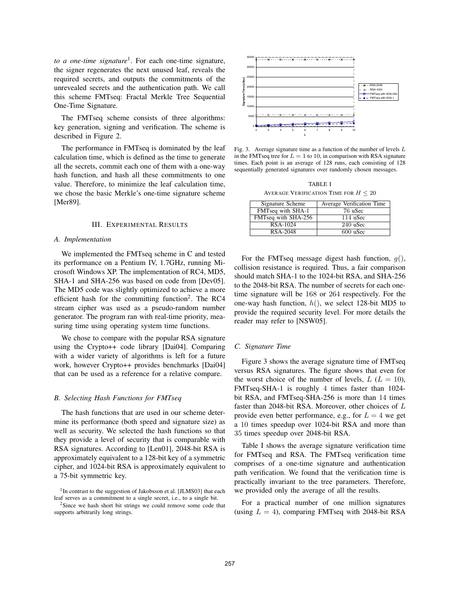*to a one-time signature*<sup>1</sup>. For each one-time signature, the signer regenerates the next unused leaf, reveals the required secrets, and outputs the commitments of the unrevealed secrets and the authentication path. We call this scheme FMTseq: Fractal Merkle Tree Sequential One-Time Signature.

The FMTseq scheme consists of three algorithms: key generation, signing and verification. The scheme is described in Figure 2.

The performance in FMTseq is dominated by the leaf calculation time, which is defined as the time to generate all the secrets, commit each one of them with a one-way hash function, and hash all these commitments to one value. Therefore, to minimize the leaf calculation time, we chose the basic Merkle's one-time signature scheme [Mer89].

## III. EXPERIMENTAL RESULTS

#### *A. Implementation*

We implemented the FMTseq scheme in C and tested its performance on a Pentium IV, 1.7GHz, running Microsoft Windows XP. The implementation of RC4, MD5, SHA-1 and SHA-256 was based on code from [Dev05]. The MD5 code was slightly optimized to achieve a more efficient hash for the committing function<sup>2</sup>. The RC4 stream cipher was used as a pseudo-random number generator. The program ran with real-time priority, measuring time using operating system time functions.

We chose to compare with the popular RSA signature using the Crypto++ code library [Dai04]. Comparing with a wider variety of algorithms is left for a future work, however Crypto++ provides benchmarks [Dai04] that can be used as a reference for a relative compare.

#### *B. Selecting Hash Functions for FMTseq*

The hash functions that are used in our scheme determine its performance (both speed and signature size) as well as security. We selected the hash functions so that they provide a level of security that is comparable with RSA signatures. According to [Len01], 2048-bit RSA is approximately equivalent to a 128-bit key of a symmetric cipher, and 1024-bit RSA is approximately equivalent to a 75-bit symmetric key.



Fig. 3. Average signature time as a function of the number of levels *L* in the FMTseq tree for  $L = 1$  to 10, in comparison with RSA signature times. Each point is an average of 128 runs, each consisting of 128 sequentially generated signatures over randomly chosen messages.

TABLE I AVERAGE VERIFICATION TIME FOR  $H\leq 20$ 

| Signature Scheme    | Average Verification Time |
|---------------------|---------------------------|
| FMTseq with SHA-1   | 76 uSec                   |
| FMTseq with SHA-256 | 114 uSec                  |
| RSA-1024            | 240 uSec                  |
| RSA-2048            | 600 uSec                  |

For the FMTseq message digest hash function, *g*(), collision resistance is required. Thus, a fair comparison should match SHA-1 to the 1024-bit RSA, and SHA-256 to the 2048-bit RSA. The number of secrets for each onetime signature will be 168 or 264 respectively. For the one-way hash function, *h*(), we select 128-bit MD5 to provide the required security level. For more details the reader may refer to [NSW05].

## *C. Signature Time*

Figure 3 shows the average signature time of FMTseq versus RSA signatures. The figure shows that even for the worst choice of the number of levels,  $L (L = 10)$ , FMTseq-SHA-1 is roughly 4 times faster than 1024 bit RSA, and FMTseq-SHA-256 is more than 14 times faster than 2048-bit RSA. Moreover, other choices of *L* provide even better performance, e.g., for  $L = 4$  we get <sup>a</sup> 10 times speedup over 1024-bit RSA and more than 35 times speedup over 2048-bit RSA.

Table I shows the average signature verification time for FMTseq and RSA. The FMTseq verification time comprises of a one-time signature and authentication path verification. We found that the verification time is practically invariant to the tree parameters. Therefore, we provided only the average of all the results.

For a practical number of one million signatures (using  $L = 4$ ), comparing FMTseq with 2048-bit RSA

<sup>&</sup>lt;sup>1</sup>In contrast to the suggestion of Jakobsson et al. [JLMS03] that each leaf serves as a commitment to a single secret, i.e., to a single bit.

<sup>2</sup>Since we hash short bit strings we could remove some code that supports arbitrarily long strings.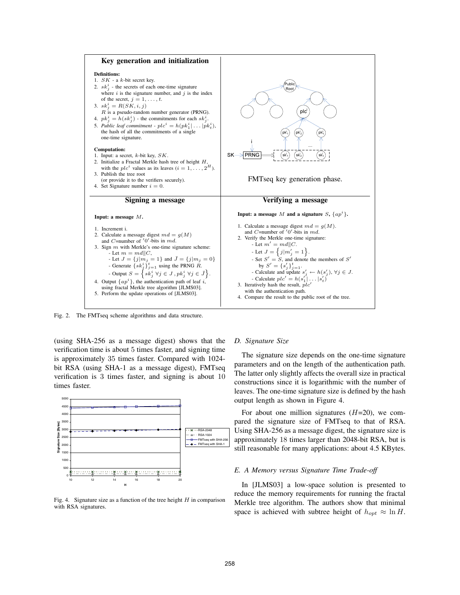

Fig. 2. The FMTseq scheme algorithms and data structure.

(using SHA-256 as a message digest) shows that the verification time is about 5 times faster, and signing time is approximately 35 times faster. Compared with 1024 bit RSA (using SHA-1 as a message digest), FMTseq verification is 3 times faster, and signing is about 10 times faster.



Fig. 4. Signature size as a function of the tree height *H* in comparison with RSA signatures.

## *D. Signature Size*

The signature size depends on the one-time signature parameters and on the length of the authentication path. The latter only slightly affects the overall size in practical constructions since it is logarithmic with the number of leaves. The one-time signature size is defined by the hash output length as shown in Figure 4.

For about one million signatures (*H*=20), we compared the signature size of FMTseq to that of RSA. Using SHA-256 as a message digest, the signature size is approximately 18 times larger than 2048-bit RSA, but is still reasonable for many applications: about 4.5 KBytes.

## *E. A Memory versus Signature Time Trade-off*

In [JLMS03] a low-space solution is presented to reduce the memory requirements for running the fractal Merkle tree algorithm. The authors show that minimal space is achieved with subtree height of  $h_{opt} \approx \ln H$ .